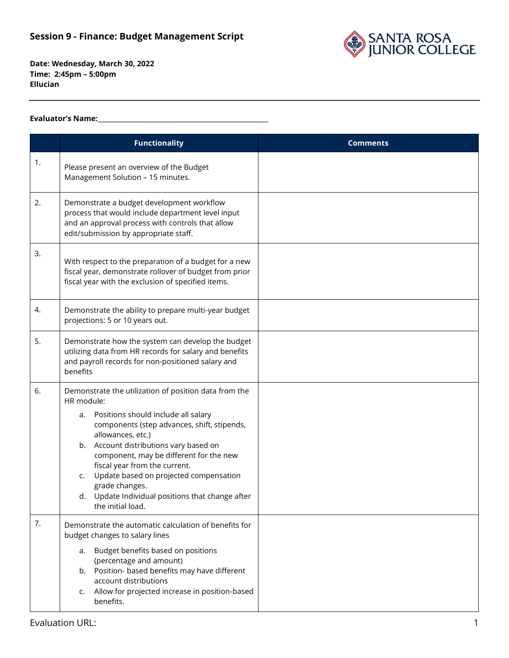

## **Evaluator's Name:\_\_\_\_\_\_\_\_\_\_\_\_\_\_\_\_\_\_\_\_\_\_\_\_\_\_\_\_\_\_\_\_\_\_\_\_\_\_\_\_\_\_\_\_\_\_\_\_\_\_\_\_\_\_**

|    | <b>Functionality</b>                                                                                                                                                                                                                                                                                                                                                                                                                                     | <b>Comments</b> |
|----|----------------------------------------------------------------------------------------------------------------------------------------------------------------------------------------------------------------------------------------------------------------------------------------------------------------------------------------------------------------------------------------------------------------------------------------------------------|-----------------|
| 1. | Please present an overview of the Budget<br>Management Solution - 15 minutes.                                                                                                                                                                                                                                                                                                                                                                            |                 |
| 2. | Demonstrate a budget development workflow<br>process that would include department level input<br>and an approval process with controls that allow<br>edit/submission by appropriate staff.                                                                                                                                                                                                                                                              |                 |
| 3. | With respect to the preparation of a budget for a new<br>fiscal year, demonstrate rollover of budget from prior<br>fiscal year with the exclusion of specified items.                                                                                                                                                                                                                                                                                    |                 |
| 4. | Demonstrate the ability to prepare multi-year budget<br>projections: 5 or 10 years out.                                                                                                                                                                                                                                                                                                                                                                  |                 |
| 5. | Demonstrate how the system can develop the budget<br>utilizing data from HR records for salary and benefits<br>and payroll records for non-positioned salary and<br>benefits                                                                                                                                                                                                                                                                             |                 |
| 6. | Demonstrate the utilization of position data from the<br>HR module:<br>Positions should include all salary<br>a.<br>components (step advances, shift, stipends,<br>allowances, etc.)<br>b. Account distributions vary based on<br>component, may be different for the new<br>fiscal year from the current.<br>Update based on projected compensation<br>c.<br>grade changes.<br>Update Individual positions that change after<br>d.<br>the initial load. |                 |
| 7. | Demonstrate the automatic calculation of benefits for<br>budget changes to salary lines<br>Budget benefits based on positions<br>a.<br>(percentage and amount)<br>b. Position- based benefits may have different<br>account distributions<br>Allow for projected increase in position-based<br>c.<br>benefits.                                                                                                                                           |                 |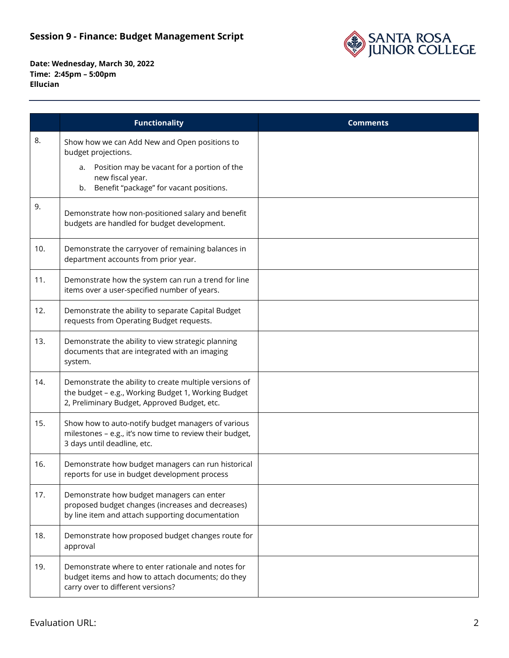

|     | <b>Functionality</b>                                                                                                                                          | <b>Comments</b> |
|-----|---------------------------------------------------------------------------------------------------------------------------------------------------------------|-----------------|
| 8.  | Show how we can Add New and Open positions to<br>budget projections.                                                                                          |                 |
|     | a. Position may be vacant for a portion of the<br>new fiscal year.<br>b. Benefit "package" for vacant positions.                                              |                 |
| 9.  | Demonstrate how non-positioned salary and benefit<br>budgets are handled for budget development.                                                              |                 |
| 10. | Demonstrate the carryover of remaining balances in<br>department accounts from prior year.                                                                    |                 |
| 11. | Demonstrate how the system can run a trend for line<br>items over a user-specified number of years.                                                           |                 |
| 12. | Demonstrate the ability to separate Capital Budget<br>requests from Operating Budget requests.                                                                |                 |
| 13. | Demonstrate the ability to view strategic planning<br>documents that are integrated with an imaging<br>system.                                                |                 |
| 14. | Demonstrate the ability to create multiple versions of<br>the budget - e.g., Working Budget 1, Working Budget<br>2, Preliminary Budget, Approved Budget, etc. |                 |
| 15. | Show how to auto-notify budget managers of various<br>milestones - e.g., it's now time to review their budget,<br>3 days until deadline, etc.                 |                 |
| 16. | Demonstrate how budget managers can run historical<br>reports for use in budget development process                                                           |                 |
| 17. | Demonstrate how budget managers can enter<br>proposed budget changes (increases and decreases)<br>by line item and attach supporting documentation            |                 |
| 18. | Demonstrate how proposed budget changes route for<br>approval                                                                                                 |                 |
| 19. | Demonstrate where to enter rationale and notes for<br>budget items and how to attach documents; do they<br>carry over to different versions?                  |                 |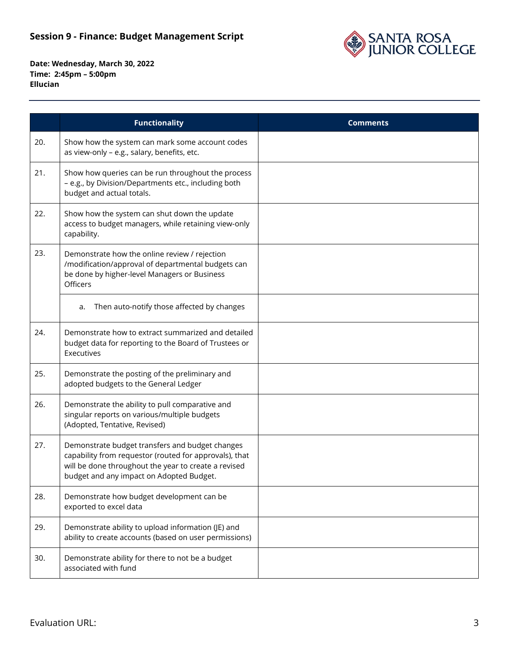

|     | <b>Functionality</b>                                                                                                                                                                                          | <b>Comments</b> |
|-----|---------------------------------------------------------------------------------------------------------------------------------------------------------------------------------------------------------------|-----------------|
| 20. | Show how the system can mark some account codes<br>as view-only - e.g., salary, benefits, etc.                                                                                                                |                 |
| 21. | Show how queries can be run throughout the process<br>- e.g., by Division/Departments etc., including both<br>budget and actual totals.                                                                       |                 |
| 22. | Show how the system can shut down the update<br>access to budget managers, while retaining view-only<br>capability.                                                                                           |                 |
| 23. | Demonstrate how the online review / rejection<br>/modification/approval of departmental budgets can<br>be done by higher-level Managers or Business<br>Officers                                               |                 |
|     | Then auto-notify those affected by changes<br>a.                                                                                                                                                              |                 |
| 24. | Demonstrate how to extract summarized and detailed<br>budget data for reporting to the Board of Trustees or<br>Executives                                                                                     |                 |
| 25. | Demonstrate the posting of the preliminary and<br>adopted budgets to the General Ledger                                                                                                                       |                 |
| 26. | Demonstrate the ability to pull comparative and<br>singular reports on various/multiple budgets<br>(Adopted, Tentative, Revised)                                                                              |                 |
| 27. | Demonstrate budget transfers and budget changes<br>capability from requestor (routed for approvals), that<br>will be done throughout the year to create a revised<br>budget and any impact on Adopted Budget. |                 |
| 28. | Demonstrate how budget development can be<br>exported to excel data                                                                                                                                           |                 |
| 29. | Demonstrate ability to upload information (JE) and<br>ability to create accounts (based on user permissions)                                                                                                  |                 |
| 30. | Demonstrate ability for there to not be a budget<br>associated with fund                                                                                                                                      |                 |